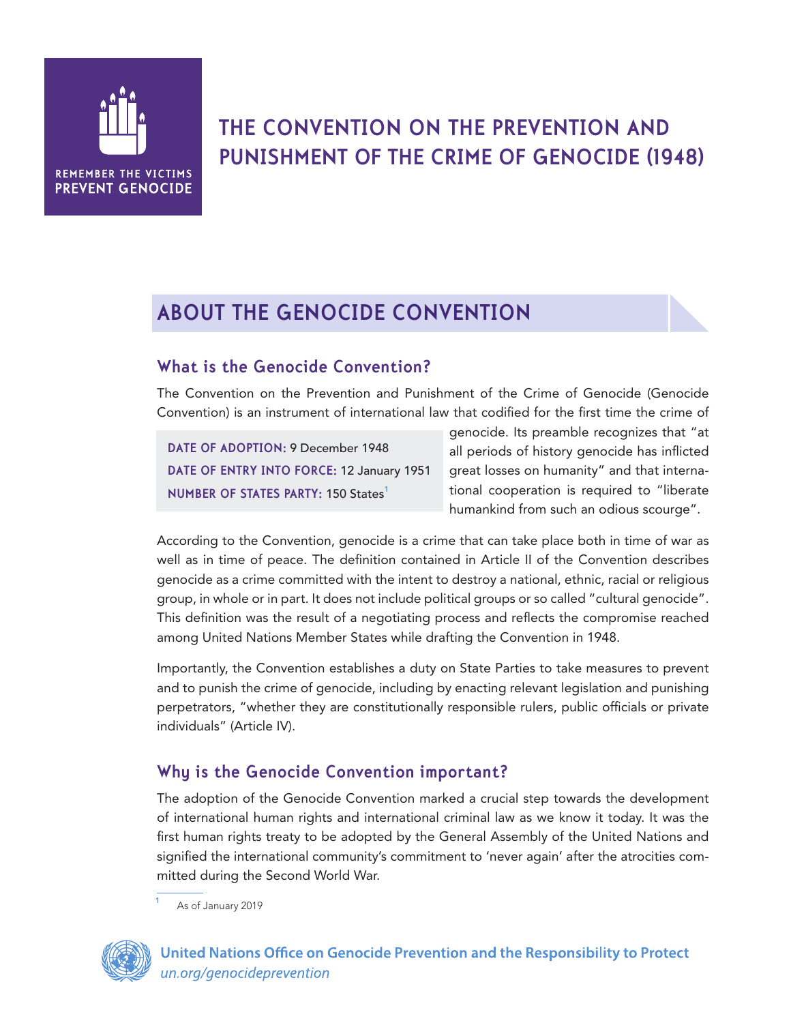

# **THE CONVENTION ON THE PREVENTION AND PUNISHMENT OF THE CRIME OF GENOCIDE (1948)**

# **ABOUT THE GENOCIDE CONVENTION**

## **What is the Genocide Convention?**

The Convention on the Prevention and Punishment of the Crime of Genocide (Genocide Convention) is an instrument of international law that codified for the first time the crime of

**DATE OF ADOPTION:** 9 December 1948 **DATE OF ENTRY INTO FORCE:** 12 January 1951 **NUMBER OF STATES PARTY: 150 States<sup>1</sup>** 

genocide. Its preamble recognizes that "at all periods of history genocide has inflicted great losses on humanity" and that international cooperation is required to "liberate humankind from such an odious scourge".

According to the Convention, genocide is a crime that can take place both in time of war as well as in time of peace. The definition contained in Article II of the Convention describes genocide as a crime committed with the intent to destroy a national, ethnic, racial or religious group, in whole or in part. It does not include political groups or so called "cultural genocide". This definition was the result of a negotiating process and reflects the compromise reached among United Nations Member States while drafting the Convention in 1948.

Importantly, the Convention establishes a duty on State Parties to take measures to prevent and to punish the crime of genocide, including by enacting relevant legislation and punishing perpetrators, "whether they are constitutionally responsible rulers, public officials or private individuals" (Article IV).

## **Why is the Genocide Convention important?**

The adoption of the Genocide Convention marked a crucial step towards the development of international human rights and international criminal law as we know it today. It was the first human rights treaty to be adopted by the General Assembly of the United Nations and signified the international community's commitment to 'never again' after the atrocities committed during the Second World War.

As of January 2019

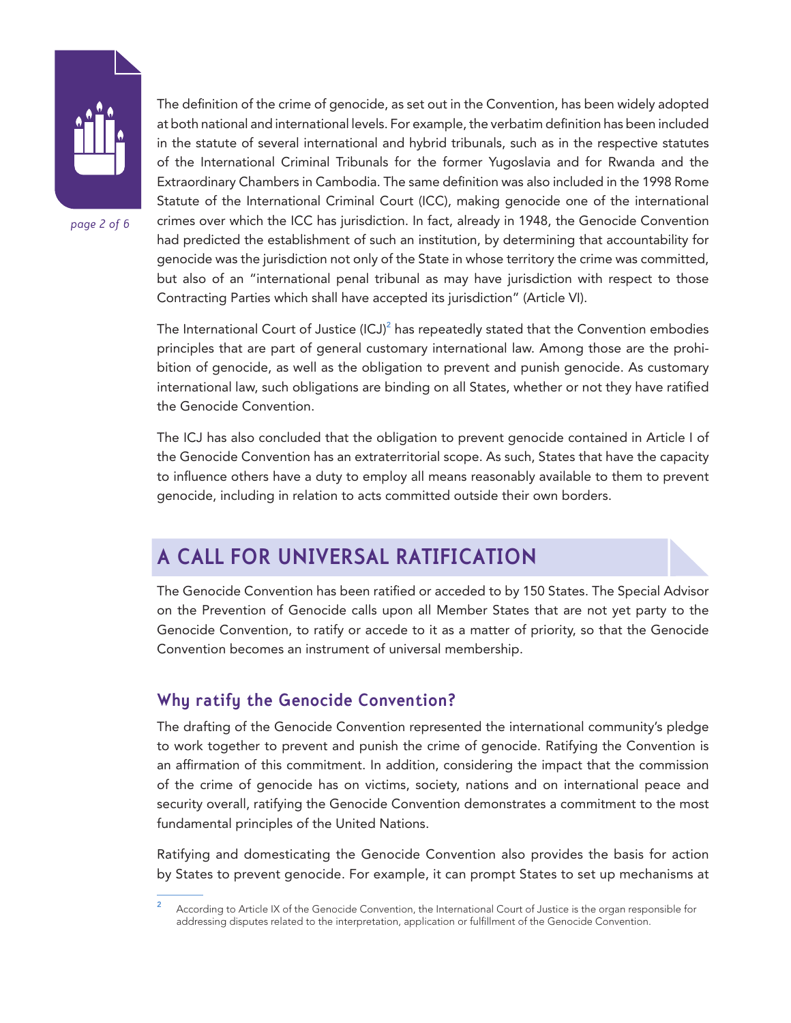

*page 2 of 6*

The definition of the crime of genocide, as set out in the Convention, has been widely adopted at both national and international levels. For example, the verbatim definition has been included in the statute of several international and hybrid tribunals, such as in the respective statutes of the International Criminal Tribunals for the former Yugoslavia and for Rwanda and the Extraordinary Chambers in Cambodia. The same definition was also included in the 1998 Rome Statute of the International Criminal Court (ICC), making genocide one of the international crimes over which the ICC has jurisdiction. In fact, already in 1948, the Genocide Convention had predicted the establishment of such an institution, by determining that accountability for genocide was the jurisdiction not only of the State in whose territory the crime was committed, but also of an "international penal tribunal as may have jurisdiction with respect to those Contracting Parties which shall have accepted its jurisdiction" (Article VI).

The International Court of Justice (ICJ) $^2$  has repeatedly stated that the Convention embodies principles that are part of general customary international law. Among those are the prohibition of genocide, as well as the obligation to prevent and punish genocide. As customary international law, such obligations are binding on all States, whether or not they have ratified the Genocide Convention.

The ICJ has also concluded that the obligation to prevent genocide contained in Article I of the Genocide Convention has an extraterritorial scope. As such, States that have the capacity to influence others have a duty to employ all means reasonably available to them to prevent genocide, including in relation to acts committed outside their own borders.

## **A CALL FOR UNIVERSAL RATIFICATION**

The Genocide Convention has been ratified or acceded to by 150 States. The Special Advisor on the Prevention of Genocide calls upon all Member States that are not yet party to the Genocide Convention, to ratify or accede to it as a matter of priority, so that the Genocide Convention becomes an instrument of universal membership.

#### **Why ratify the Genocide Convention?**

The drafting of the Genocide Convention represented the international community's pledge to work together to prevent and punish the crime of genocide. Ratifying the Convention is an affirmation of this commitment. In addition, considering the impact that the commission of the crime of genocide has on victims, society, nations and on international peace and security overall, ratifying the Genocide Convention demonstrates a commitment to the most fundamental principles of the United Nations.

Ratifying and domesticating the Genocide Convention also provides the basis for action by States to prevent genocide. For example, it can prompt States to set up mechanisms at

According to Article IX of the Genocide Convention, the International Court of Justice is the organ responsible for addressing disputes related to the interpretation, application or fulfillment of the Genocide Convention.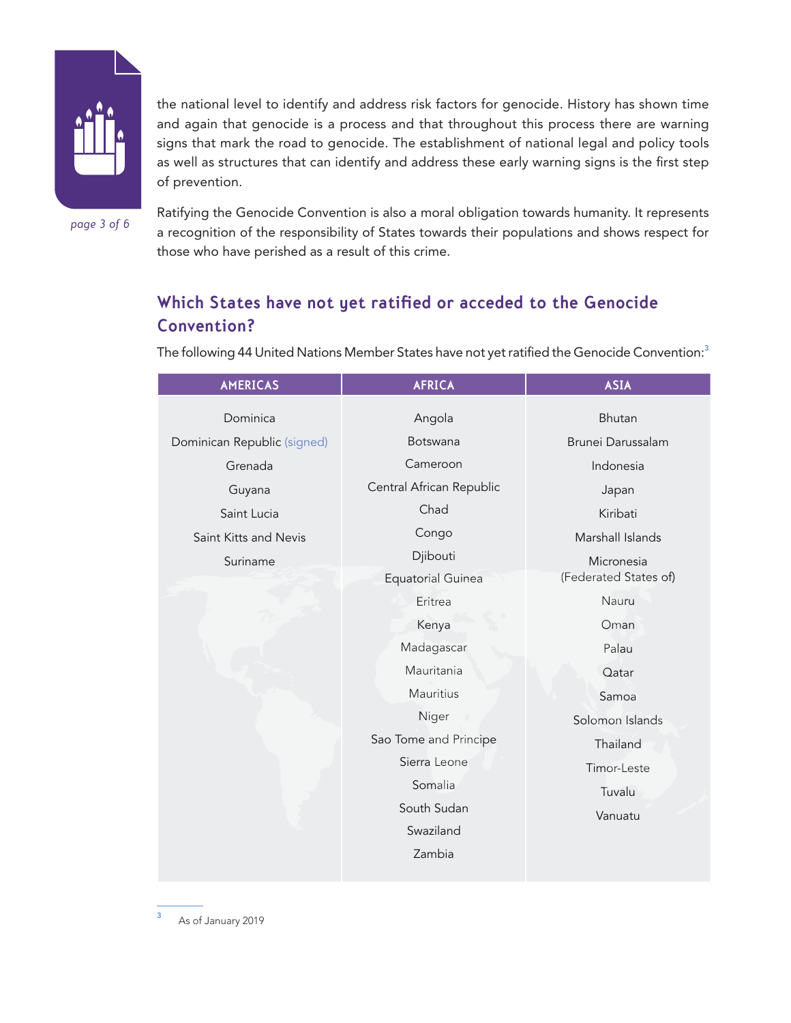

the national level to identify and address risk factors for genocide. History has shown time and again that genocide is a process and that throughout this process there are warning signs that mark the road to genocide. The establishment of national legal and policy tools as well as structures that can identify and address these early warning signs is the first step of prevention.

*page 3 of 6*

Ratifying the Genocide Convention is also a moral obligation towards humanity. It represents a recognition of the responsibility of States towards their populations and shows respect for those who have perished as a result of this crime.

## **Which States have not yet ratified or acceded to the Genocide Convention?**

| <b>AMERICAS</b>             | <b>AFRICA</b>            | <b>ASIA</b>           |
|-----------------------------|--------------------------|-----------------------|
| Dominica                    | Angola                   | Bhutan                |
| Dominican Republic (signed) | Botswana                 | Brunei Darussalam     |
| Grenada                     | Cameroon                 | Indonesia             |
| Guyana                      | Central African Republic | Japan                 |
| Saint Lucia                 | Chad                     | Kiribati              |
| Saint Kitts and Nevis       | Congo                    | Marshall Islands      |
| Suriname                    | Djibouti                 | Micronesia            |
|                             | <b>Equatorial Guinea</b> | (Federated States of) |
|                             | Eritrea                  | Nauru                 |
|                             | Kenya                    | Oman                  |
|                             | Madagascar               | Palau                 |
|                             | Mauritania               | Qatar                 |
|                             | Mauritius                | Samoa                 |
|                             | Niger                    | Solomon Islands       |
|                             | Sao Tome and Principe    | Thailand              |
|                             | Sierra Leone             | Timor-Leste           |
|                             | Somalia                  | Tuvalu                |
|                             | South Sudan              | Vanuatu               |
|                             | Swaziland                |                       |
|                             | Zambia                   |                       |
|                             |                          |                       |

The following 44 United Nations Member States have not yet ratified the Genocide Convention:<sup>3</sup>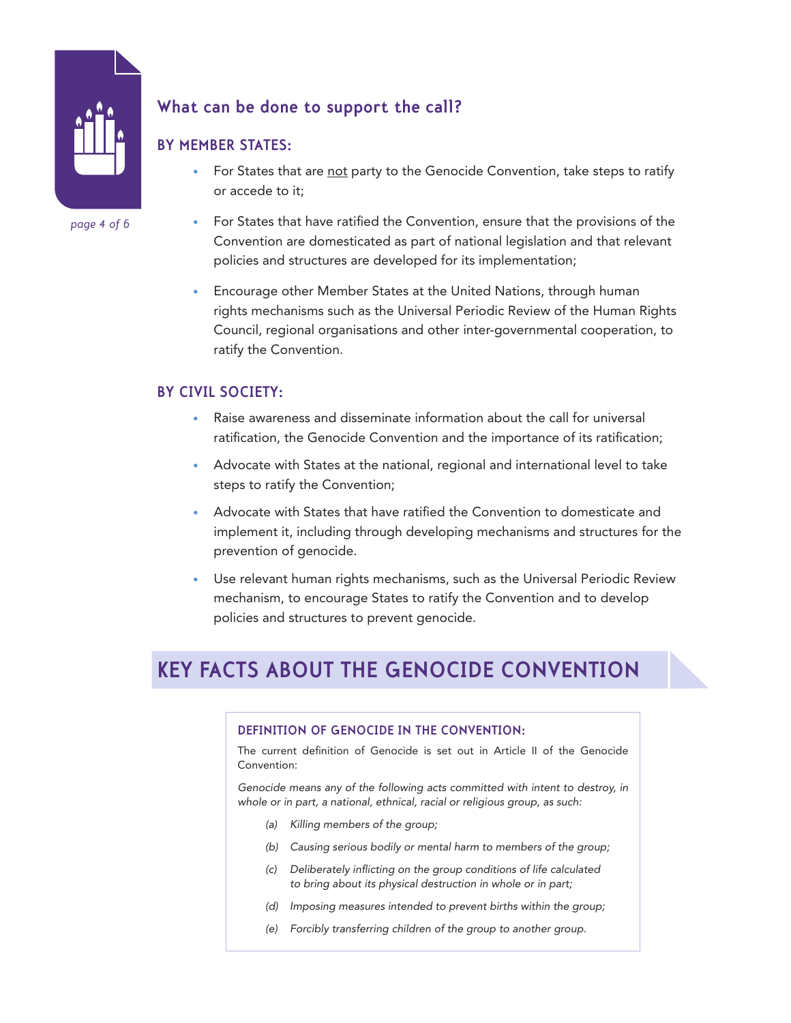

#### *page 4 of 6*

#### **What can be done to support the call?**

#### • For States that are not party to the Genocide Convention, take steps to ratify or accede to it;

- For States that have ratified the Convention, ensure that the provisions of the Convention are domesticated as part of national legislation and that relevant policies and structures are developed for its implementation;
- Encourage other Member States at the United Nations, through human rights mechanisms such as the Universal Periodic Review of the Human Rights Council, regional organisations and other inter-governmental cooperation, to ratify the Convention.

#### **BY CIVIL SOCIETY:**

**BY MEMBER STATES:**

- Raise awareness and disseminate information about the call for universal ratification, the Genocide Convention and the importance of its ratification;
- Advocate with States at the national, regional and international level to take steps to ratify the Convention;
- Advocate with States that have ratified the Convention to domesticate and implement it, including through developing mechanisms and structures for the prevention of genocide.
- Use relevant human rights mechanisms, such as the Universal Periodic Review mechanism, to encourage States to ratify the Convention and to develop policies and structures to prevent genocide.

# **KEY FACTS ABOUT THE GENOCIDE CONVENTION**

#### **DEFINITION OF GENOCIDE IN THE CONVENTION:**

The current definition of Genocide is set out in Article II of the Genocide Convention:

*Genocide means any of the following acts committed with intent to destroy, in whole or in part, a national, ethnical, racial or religious group, as such:*

- *(a) Killing members of the group;*
- *(b) Causing serious bodily or mental harm to members of the group;*
- *(c) Deliberately inflicting on the group conditions of life calculated to bring about its physical destruction in whole or in part;*
- *(d) Imposing measures intended to prevent births within the group;*
- *(e) Forcibly transferring children of the group to another group.*